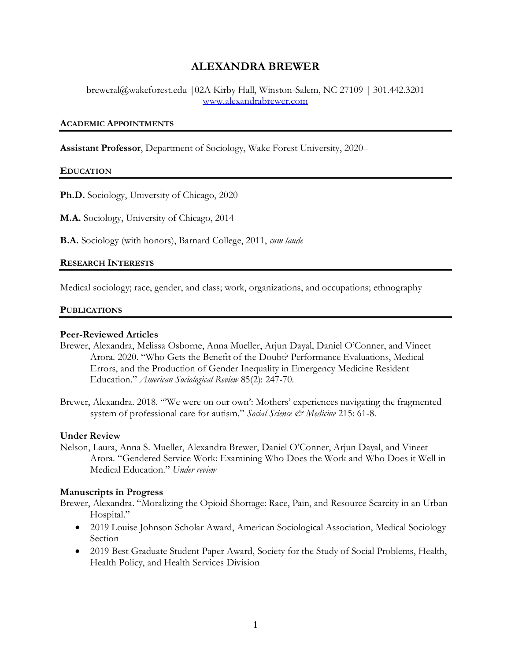# **ALEXANDRA BREWER**

breweral@wakeforest.edu |02A Kirby Hall, Winston-Salem, NC 27109 | 301.442.3201 [www.alexandrabrewer.com](http://www.alexandrabrewer.com/)

### **ACADEMIC APPOINTMENTS**

**Assistant Professor**, Department of Sociology, Wake Forest University, 2020–

#### **EDUCATION**

**Ph.D.** Sociology, University of Chicago, 2020

**M.A.** Sociology, University of Chicago, 2014

**B.A.** Sociology (with honors), Barnard College, 2011, *cum laude*

#### **RESEARCH INTERESTS**

Medical sociology; race, gender, and class; work, organizations, and occupations; ethnography

#### **PUBLICATIONS**

### **Peer-Reviewed Articles**

- Brewer, Alexandra, Melissa Osborne, Anna Mueller, Arjun Dayal, Daniel O'Conner, and Vineet Arora. 2020. "Who Gets the Benefit of the Doubt? Performance Evaluations, Medical Errors, and the Production of Gender Inequality in Emergency Medicine Resident Education." *American Sociological Review* 85(2): 247-70.
- Brewer, Alexandra. 2018. "'We were on our own': Mothers' experiences navigating the fragmented system of professional care for autism." *Social Science & Medicine* 215: 61-8.

#### **Under Review**

Nelson, Laura, Anna S. Mueller, Alexandra Brewer, Daniel O'Conner, Arjun Dayal, and Vineet Arora. "Gendered Service Work: Examining Who Does the Work and Who Does it Well in Medical Education." *Under review*

#### **Manuscripts in Progress**

Brewer, Alexandra. "Moralizing the Opioid Shortage: Race, Pain, and Resource Scarcity in an Urban Hospital."

- 2019 Louise Johnson Scholar Award, American Sociological Association, Medical Sociology Section
- 2019 Best Graduate Student Paper Award, Society for the Study of Social Problems, Health, Health Policy, and Health Services Division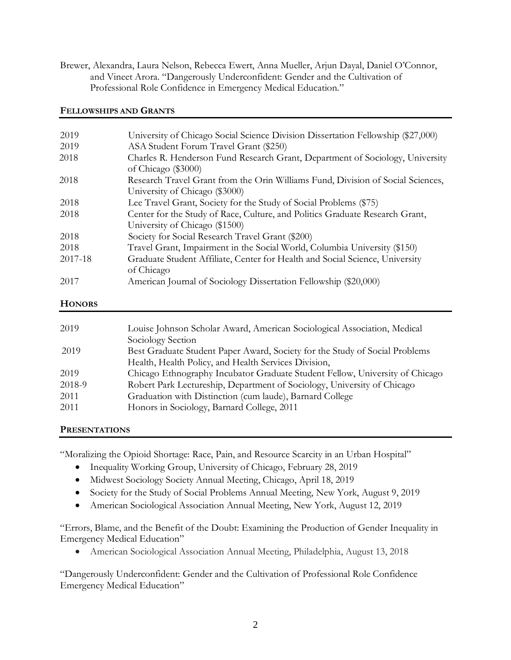Brewer, Alexandra, Laura Nelson, Rebecca Ewert, Anna Mueller, Arjun Dayal, Daniel O'Connor, and Vineet Arora. "Dangerously Underconfident: Gender and the Cultivation of Professional Role Confidence in Emergency Medical Education."

## **FELLOWSHIPS AND GRANTS**

| 2019    | University of Chicago Social Science Division Dissertation Fellowship (\$27,000)                                  |
|---------|-------------------------------------------------------------------------------------------------------------------|
| 2019    | ASA Student Forum Travel Grant (\$250)                                                                            |
| 2018    | Charles R. Henderson Fund Research Grant, Department of Sociology, University<br>of Chicago (\$3000)              |
| 2018    | Research Travel Grant from the Orin Williams Fund, Division of Social Sciences,<br>University of Chicago (\$3000) |
|         |                                                                                                                   |
| 2018    | Lee Travel Grant, Society for the Study of Social Problems (\$75)                                                 |
| 2018    | Center for the Study of Race, Culture, and Politics Graduate Research Grant,                                      |
|         | University of Chicago (\$1500)                                                                                    |
| 2018    | Society for Social Research Travel Grant (\$200)                                                                  |
| 2018    | Travel Grant, Impairment in the Social World, Columbia University (\$150)                                         |
| 2017-18 | Graduate Student Affiliate, Center for Health and Social Science, University                                      |
|         | of Chicago                                                                                                        |
| 2017    | American Journal of Sociology Dissertation Fellowship (\$20,000)                                                  |
|         |                                                                                                                   |

### **HONORS**

| 2019   | Louise Johnson Scholar Award, American Sociological Association, Medical     |
|--------|------------------------------------------------------------------------------|
|        | Sociology Section                                                            |
| 2019   | Best Graduate Student Paper Award, Society for the Study of Social Problems  |
|        | Health, Health Policy, and Health Services Division,                         |
| 2019   | Chicago Ethnography Incubator Graduate Student Fellow, University of Chicago |
| 2018-9 | Robert Park Lectureship, Department of Sociology, University of Chicago      |
| 2011   | Graduation with Distinction (cum laude), Barnard College                     |
| 2011   | Honors in Sociology, Barnard College, 2011                                   |
|        |                                                                              |

# **PRESENTATIONS**

"Moralizing the Opioid Shortage: Race, Pain, and Resource Scarcity in an Urban Hospital"

- Inequality Working Group, University of Chicago, February 28, 2019
- Midwest Sociology Society Annual Meeting, Chicago, April 18, 2019
- Society for the Study of Social Problems Annual Meeting, New York, August 9, 2019
- American Sociological Association Annual Meeting, New York, August 12, 2019

"Errors, Blame, and the Benefit of the Doubt: Examining the Production of Gender Inequality in Emergency Medical Education"

• American Sociological Association Annual Meeting, Philadelphia, August 13, 2018

"Dangerously Underconfident: Gender and the Cultivation of Professional Role Confidence Emergency Medical Education"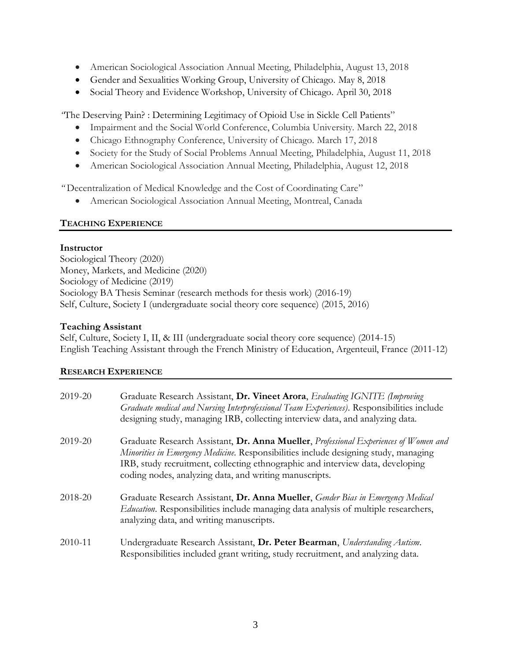- American Sociological Association Annual Meeting, Philadelphia, August 13, 2018
- Gender and Sexualities Working Group, University of Chicago. May 8, 2018
- Social Theory and Evidence Workshop, University of Chicago. April 30, 2018

*"*The Deserving Pain? : Determining Legitimacy of Opioid Use in Sickle Cell Patients"

- Impairment and the Social World Conference, Columbia University. March 22, 2018
- Chicago Ethnography Conference, University of Chicago. March 17, 2018
- Society for the Study of Social Problems Annual Meeting, Philadelphia, August 11, 2018
- American Sociological Association Annual Meeting, Philadelphia, August 12, 2018

*"* Decentralization of Medical Knowledge and the Cost of Coordinating Care"

• American Sociological Association Annual Meeting, Montreal, Canada

# **TEACHING EXPERIENCE**

# **Instructor**

Sociological Theory (2020) Money, Markets, and Medicine (2020) Sociology of Medicine (2019) Sociology BA Thesis Seminar (research methods for thesis work) (2016-19) Self, Culture, Society I (undergraduate social theory core sequence) (2015, 2016)

# **Teaching Assistant**

Self, Culture, Society I, II, & III (undergraduate social theory core sequence) (2014-15) English Teaching Assistant through the French Ministry of Education, Argenteuil, France (2011-12)

# **RESEARCH EXPERIENCE**

| 2019-20 | Graduate Research Assistant, Dr. Vineet Arora, Evaluating IGNITE (Improving<br>Graduate medical and Nursing Interprofessional Team Experiences). Responsibilities include<br>designing study, managing IRB, collecting interview data, and analyzing data.                                                               |
|---------|--------------------------------------------------------------------------------------------------------------------------------------------------------------------------------------------------------------------------------------------------------------------------------------------------------------------------|
| 2019-20 | Graduate Research Assistant, Dr. Anna Mueller, Professional Experiences of Women and<br>Minorities in Emergency Medicine. Responsibilities include designing study, managing<br>IRB, study recruitment, collecting ethnographic and interview data, developing<br>coding nodes, analyzing data, and writing manuscripts. |
| 2018-20 | Graduate Research Assistant, Dr. Anna Mueller, Gender Bias in Emergency Medical<br><i>Education</i> . Responsibilities include managing data analysis of multiple researchers,<br>analyzing data, and writing manuscripts.                                                                                               |
| 2010-11 | Undergraduate Research Assistant, Dr. Peter Bearman, Understanding Autism.<br>Responsibilities included grant writing, study recruitment, and analyzing data.                                                                                                                                                            |